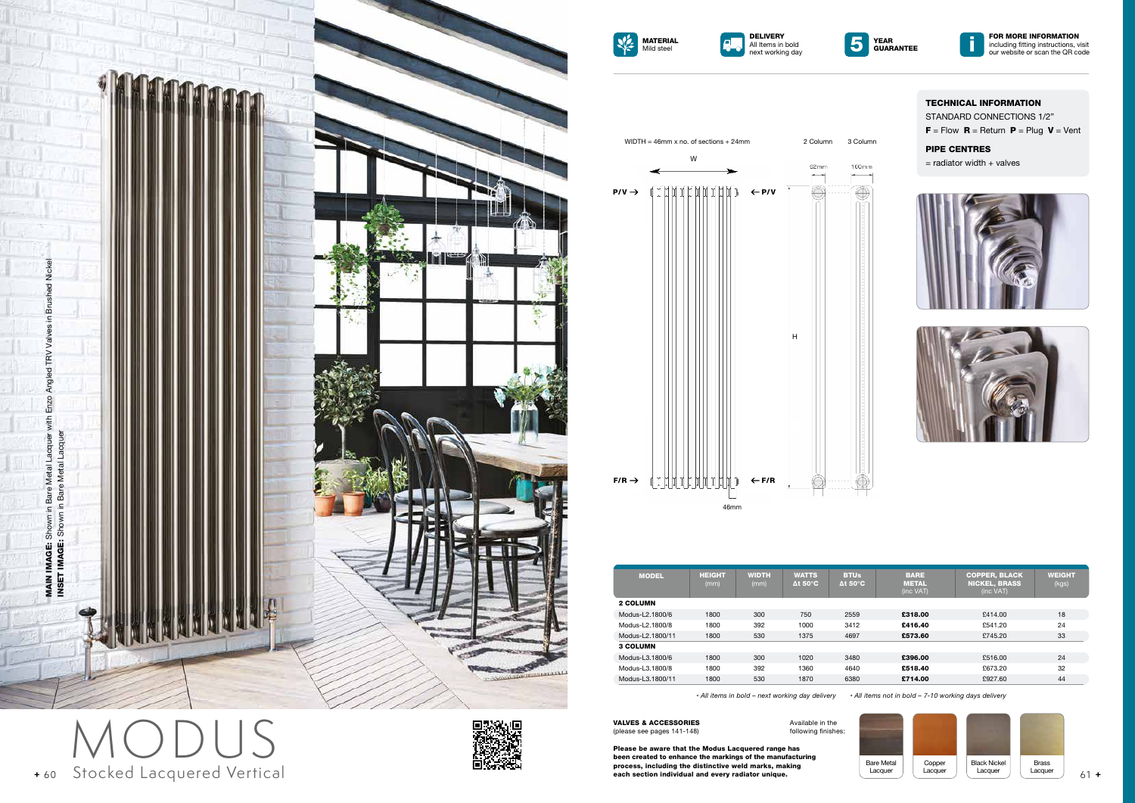TECHNICAL INFORMATION STANDARD CONNECTIONS 1/2"  $F =$  Flow  $R =$  Return  $P =$  Plug  $V =$  Vent

## PIPE CENTRES

 $=$  radiator width  $+$  valves



















*\* All items in bold – next working day delivery \* All items not in bold – 7-10 working days delivery*

VALVES & ACCESSORIES (please see pages 141-148)

Please be aware that the Modus Lacquered range has been created to enhance the markings of the manufacturing process, including the distinctive weld marks, making each section individual and every radiator unique.

Available in the following finishes:









| <b>MODEL</b>     | <b>HEIGHT</b><br>(mm) | <b>WIDTH</b><br>(mm) | <b>WATTS</b><br>$\Delta t$ 50 $^{\circ}$ C | <b>BTUs</b><br>$\Delta t$ 50 $^{\circ}$ C | <b>BARE</b><br><b>METAL</b><br>(inc VAT) | <b>COPPER, BLACK</b><br><b>NICKEL, BRASS</b><br>(inc VAT) | <b>WEIGHT</b><br>(kgs) |
|------------------|-----------------------|----------------------|--------------------------------------------|-------------------------------------------|------------------------------------------|-----------------------------------------------------------|------------------------|
| <b>2 COLUMN</b>  |                       |                      |                                            |                                           |                                          |                                                           |                        |
| Modus-L2.1800/6  | 1800                  | 300                  | 750                                        | 2559                                      | £318.00                                  | £414.00                                                   | 18                     |
| Modus-L2.1800/8  | 1800                  | 392                  | 1000                                       | 3412                                      | £416.40                                  | £541.20                                                   | 24                     |
| Modus-L2.1800/11 | 1800                  | 530                  | 1375                                       | 4697                                      | £573.60                                  | £745.20                                                   | 33                     |
| 3 COLUMN         |                       |                      |                                            |                                           |                                          |                                                           |                        |
| Modus-L3.1800/6  | 1800                  | 300                  | 1020                                       | 3480                                      | £396.00                                  | £516.00                                                   | 24                     |
| Modus-L3.1800/8  | 1800                  | 392                  | 1360                                       | 4640                                      | £518.40                                  | £673.20                                                   | 32                     |
| Modus-L3.1800/11 | 1800                  | 530                  | 1870                                       | 6380                                      | £714.00                                  | £927.60                                                   | 44                     |